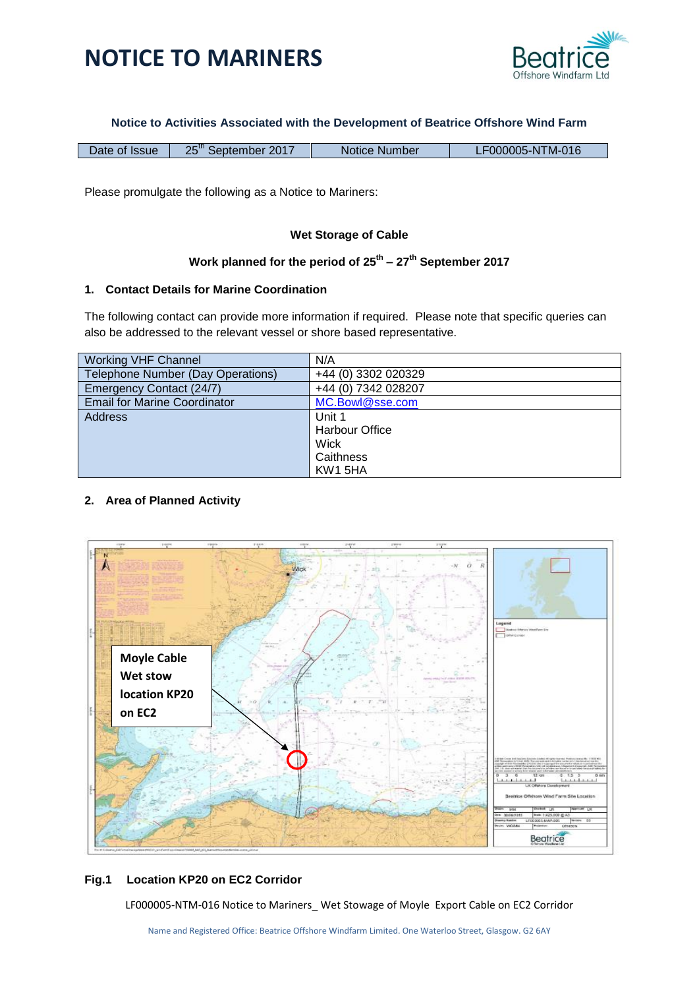



#### **Notice to Activities Associated with the Development of Beatrice Offshore Wind Farm**

Please promulgate the following as a Notice to Mariners:

## **Wet Storage of Cable**

### **Work planned for the period of 25th – 27th September 2017**

## **1. Contact Details for Marine Coordination**

The following contact can provide more information if required. Please note that specific queries can also be addressed to the relevant vessel or shore based representative.

| <b>Working VHF Channel</b>          | N/A                   |
|-------------------------------------|-----------------------|
| Telephone Number (Day Operations)   | +44 (0) 3302 020329   |
| Emergency Contact (24/7)            | +44 (0) 7342 028207   |
| <b>Email for Marine Coordinator</b> | MC.Bowl@sse.com       |
| <b>Address</b>                      | Unit 1                |
|                                     | <b>Harbour Office</b> |
|                                     | <b>Wick</b>           |
|                                     | Caithness             |
|                                     | KW15HA                |

# **2. Area of Planned Activity**



### **Fig.1 Location KP20 on EC2 Corridor**

LF000005-NTM-016 Notice to Mariners\_ Wet Stowage of Moyle Export Cable on EC2 Corridor

Name and Registered Office: Beatrice Offshore Windfarm Limited. One Waterloo Street, Glasgow. G2 6AY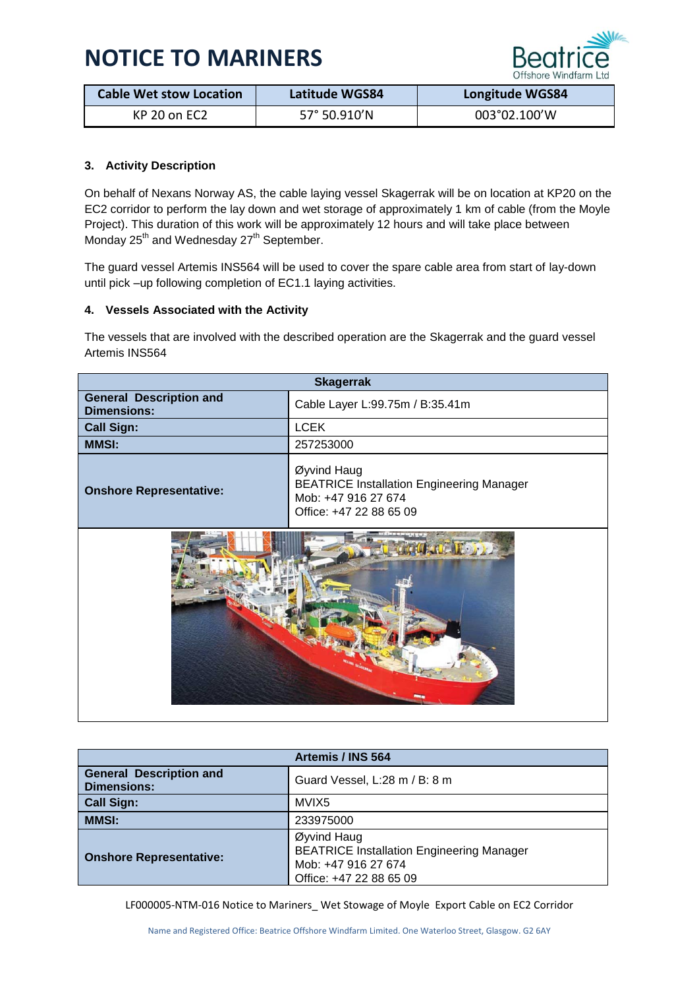# **NOTICE TO MARINERS**



| <b>Cable Wet stow Location</b> | Latitude WGS84 | <b>Longitude WGS84</b> |
|--------------------------------|----------------|------------------------|
| KP 20 on EC2                   | 57° 50.910'N   | 003°02.100'W           |

# **3. Activity Description**

On behalf of Nexans Norway AS, the cable laying vessel Skagerrak will be on location at KP20 on the EC2 corridor to perform the lay down and wet storage of approximately 1 km of cable (from the Moyle Project). This duration of this work will be approximately 12 hours and will take place between Monday 25<sup>th</sup> and Wednesday 27<sup>th</sup> September.

The guard vessel Artemis INS564 will be used to cover the spare cable area from start of lay-down until pick –up following completion of EC1.1 laying activities.

## **4. Vessels Associated with the Activity**

The vessels that are involved with the described operation are the Skagerrak and the guard vessel Artemis INS564

| <b>Skagerrak</b>                                     |                                                                                                                   |
|------------------------------------------------------|-------------------------------------------------------------------------------------------------------------------|
| <b>General Description and</b><br><b>Dimensions:</b> | Cable Layer L:99.75m / B:35.41m                                                                                   |
| <b>Call Sign:</b>                                    | <b>LCEK</b>                                                                                                       |
| <b>MMSI:</b>                                         | 257253000                                                                                                         |
| <b>Onshore Representative:</b>                       | Øyvind Haug<br><b>BEATRICE Installation Engineering Manager</b><br>Mob: +47 916 27 674<br>Office: +47 22 88 65 09 |
|                                                      |                                                                                                                   |

| Artemis / INS 564                                    |                                                                                                                   |  |
|------------------------------------------------------|-------------------------------------------------------------------------------------------------------------------|--|
| <b>General Description and</b><br><b>Dimensions:</b> | Guard Vessel, L:28 m / B: 8 m                                                                                     |  |
| <b>Call Sign:</b>                                    | MVIX5                                                                                                             |  |
| <b>MMSI:</b>                                         | 233975000                                                                                                         |  |
| <b>Onshore Representative:</b>                       | Øyvind Haug<br><b>BEATRICE Installation Engineering Manager</b><br>Mob: +47 916 27 674<br>Office: +47 22 88 65 09 |  |

LF000005-NTM-016 Notice to Mariners\_ Wet Stowage of Moyle Export Cable on EC2 Corridor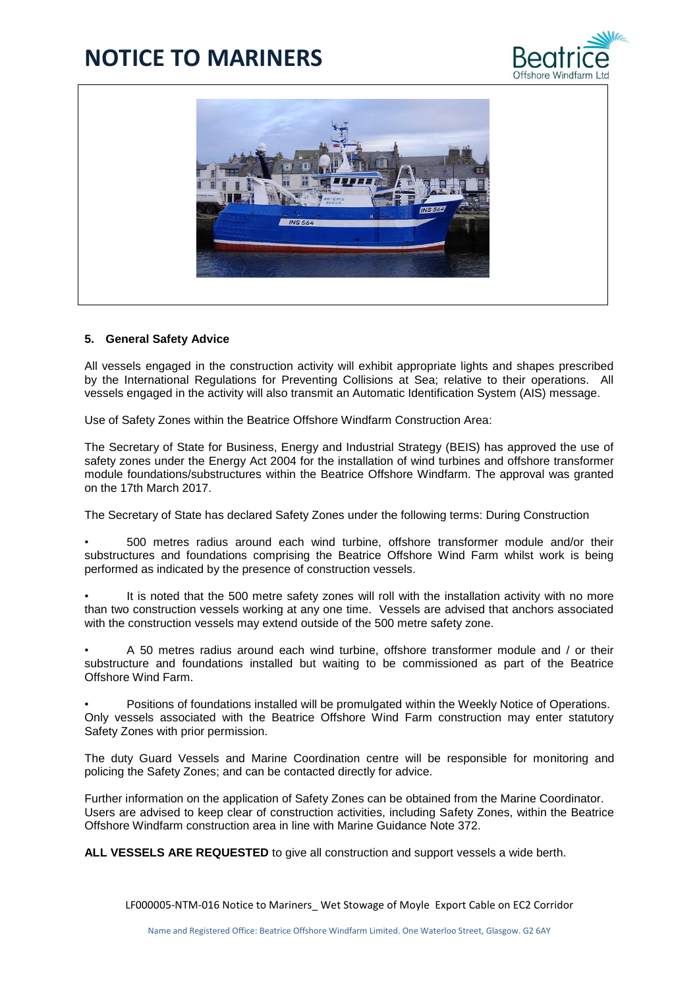# **NOTICE TO MARINERS**





#### **5. General Safety Advice**

All vessels engaged in the construction activity will exhibit appropriate lights and shapes prescribed by the International Regulations for Preventing Collisions at Sea; relative to their operations. All vessels engaged in the activity will also transmit an Automatic Identification System (AIS) message.

Use of Safety Zones within the Beatrice Offshore Windfarm Construction Area:

The Secretary of State for Business, Energy and Industrial Strategy (BEIS) has approved the use of safety zones under the Energy Act 2004 for the installation of wind turbines and offshore transformer module foundations/substructures within the Beatrice Offshore Windfarm. The approval was granted on the 17th March 2017.

The Secretary of State has declared Safety Zones under the following terms: During Construction

• 500 metres radius around each wind turbine, offshore transformer module and/or their substructures and foundations comprising the Beatrice Offshore Wind Farm whilst work is being performed as indicated by the presence of construction vessels.

It is noted that the 500 metre safety zones will roll with the installation activity with no more than two construction vessels working at any one time. Vessels are advised that anchors associated with the construction vessels may extend outside of the 500 metre safety zone.

• A 50 metres radius around each wind turbine, offshore transformer module and / or their substructure and foundations installed but waiting to be commissioned as part of the Beatrice Offshore Wind Farm.

• Positions of foundations installed will be promulgated within the Weekly Notice of Operations. Only vessels associated with the Beatrice Offshore Wind Farm construction may enter statutory Safety Zones with prior permission.

The duty Guard Vessels and Marine Coordination centre will be responsible for monitoring and policing the Safety Zones; and can be contacted directly for advice.

Further information on the application of Safety Zones can be obtained from the Marine Coordinator. Users are advised to keep clear of construction activities, including Safety Zones, within the Beatrice Offshore Windfarm construction area in line with Marine Guidance Note 372.

**ALL VESSELS ARE REQUESTED** to give all construction and support vessels a wide berth.

LF000005-NTM-016 Notice to Mariners Wet Stowage of Moyle Export Cable on EC2 Corridor